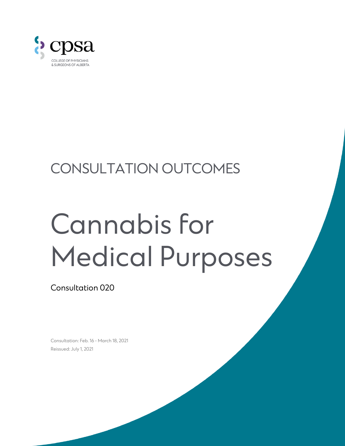

## CONSULTATION OUTCOMES

# Cannabis for Medical Purposes

Consultation 020

Consultation: Feb. 16 - March 18, 2021 Reissued: July 1, 2021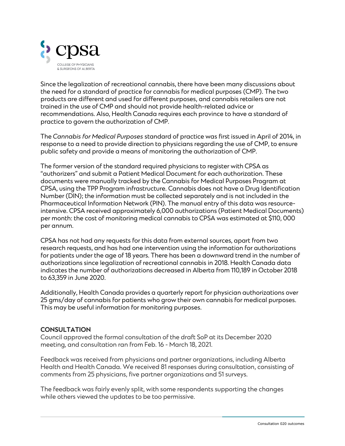

Since the legalization of recreational cannabis, there have been many discussions about the need for a standard of practice for cannabis for medical purposes (CMP). The two products are different and used for different purposes, and cannabis retailers are not trained in the use of CMP and should not provide health-related advice or recommendations. Also, Health Canada requires each province to have a standard of practice to govern the authorization of CMP.

The *Cannabis for Medical Purposes* standard of practice was first issued in April of 2014, in response to a need to provide direction to physicians regarding the use of CMP, to ensure public safety and provide a means of monitoring the authorization of CMP.

The former version of the standard required physicians to register with CPSA as "authorizers" and submit a Patient Medical Document for each authorization. These documents were manually tracked by the Cannabis for Medical Purposes Program at CPSA, using the TPP Program infrastructure. Cannabis does not have a Drug Identification Number (DIN); the information must be collected separately and is not included in the Pharmaceutical Information Network (PIN). The manual entry of this data was resourceintensive. CPSA received approximately 6,000 authorizations (Patient Medical Documents) per month: the cost of monitoring medical cannabis to CPSA was estimated at \$110, 000 per annum.

CPSA has not had any requests for this data from external sources, apart from two research requests, and has had one intervention using the information for authorizations for patients under the age of 18 years. There has been a downward trend in the number of authorizations since legalization of recreational cannabis in 2018. Health Canada data indicates the number of authorizations decreased in Alberta from 110,189 in October 2018 to 63,359 in June 2020.

Additionally, Health Canada provides a quarterly report for physician authorizations over 25 gms/day of cannabis for patients who grow their own cannabis for medical purposes. This may be useful information for monitoring purposes.

#### **CONSULTATION**

Council approved the formal consultation of the draft SoP at its December 2020 meeting, and consultation ran from Feb. 16 - March 18, 2021.

Feedback was received from physicians and partner organizations, including Alberta Health and Health Canada. We received 81 responses during consultation, consisting of comments from 25 physicians, five partner organizations and 51 surveys.

The feedback was fairly evenly split, with some respondents supporting the changes while others viewed the updates to be too permissive.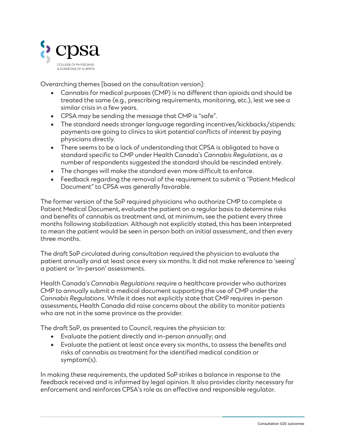

Overarching themes [based on the consultation version]:

- Cannabis for medical purposes (CMP) is no different than opioids and should be treated the same (e.g., prescribing requirements, monitoring, etc.), lest we see a similar crisis in a few years.
- CPSA may be sending the message that CMP is "safe".
- The standard needs stronger language regarding incentives/kickbacks/stipends: payments are going to clinics to skirt potential conflicts of interest by paying physicians directly.
- There seems to be a lack of understanding that CPSA is obligated to have a standard specific to CMP under Health Canada's *Cannabis Regulations*, as a number of respondents suggested the standard should be rescinded entirely.
- The changes will make the standard even more difficult to enforce.
- Feedback regarding the removal of the requirement to submit a "Patient Medical Document" to CPSA was generally favorable.

The former version of the SoP required physicians who authorize CMP to complete a Patient Medical Document, evaluate the patient on a regular basis to determine risks and benefits of cannabis as treatment and, at minimum, see the patient every three months following stabilization. Although not explicitly stated, this has been interpreted to mean the patient would be seen in person both on initial assessment, and then every three months.

The draft SoP circulated during consultation required the physician to evaluate the patient annually and at least once every six months. It did not make reference to 'seeing' a patient or 'in-person' assessments.

Health Canada's *Cannabis Regulations* require a healthcare provider who authorizes CMP to annually submit a medical document supporting the use of CMP under the *Cannabis Regulations*. While it does not explicitly state that CMP requires in-person assessments, Health Canada did raise concerns about the ability to monitor patients who are not in the same province as the provider.

The draft SoP, as presented to Council, requires the physician to:

- Evaluate the patient directly and in-person annually; and
- Evaluate the patient at least once every six months, to assess the benefits and risks of cannabis as treatment for the identified medical condition or symptom(s).

In making these requirements, the updated SoP strikes a balance in response to the feedback received and is informed by legal opinion. It also provides clarity necessary for enforcement and reinforces CPSA's role as an effective and responsible regulator.